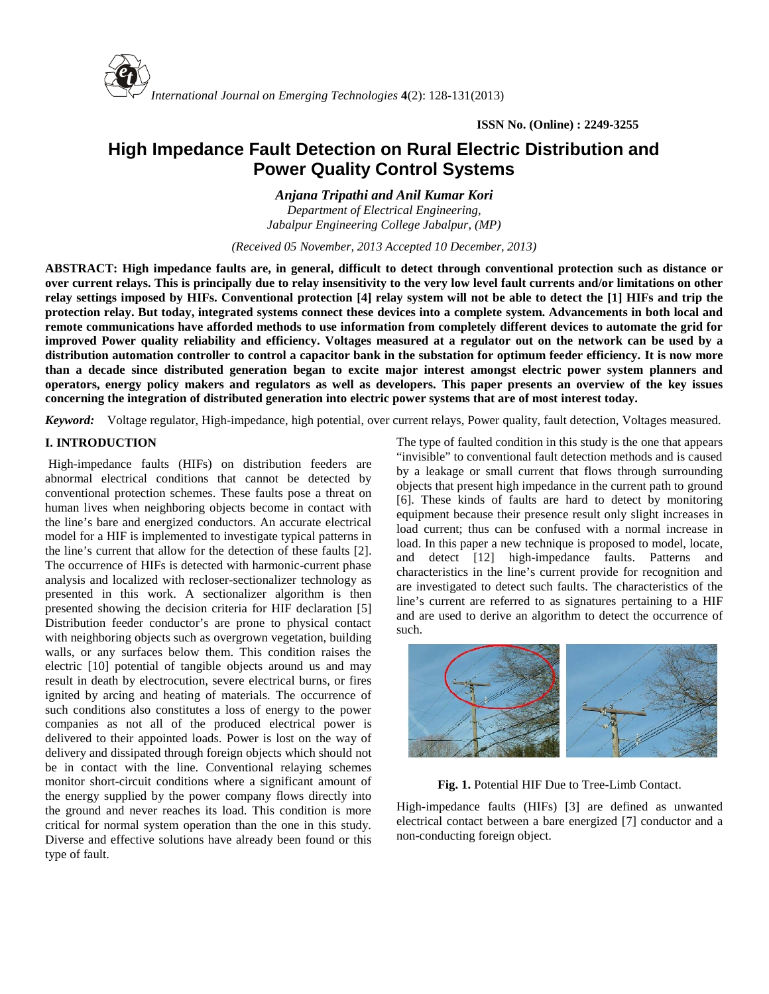

# **High Impedance Fault Detection on Rural Electric Distribution and Power Quality Control Systems**

*Anjana Tripathi and Anil Kumar Kori*

*Department of Electrical Engineering, Jabalpur Engineering College Jabalpur, (MP)*

*(Received 05 November, 2013 Accepted 10 December, 2013)*

**ABSTRACT: High impedance faults are, in general, difficult to detect through conventional protection such as distance or over current relays. This is principally due to relay insensitivity to the very low level fault currents and/or limitations on other relay settings imposed by HIFs. Conventional protection [4] relay system will not be able to detect the [1] HIFs and trip the protection relay. But today, integrated systems connect these devices into a complete system. Advancements in both local and remote communications have afforded methods to use information from completely different devices to automate the grid for improved Power quality reliability and efficiency. Voltages measured at a regulator out on the network can be used by a distribution automation controller to control a capacitor bank in the substation for optimum feeder efficiency. It is now more than a decade since distributed generation began to excite major interest amongst electric power system planners and operators, energy policy makers and regulators as well as developers. This paper presents an overview of the key issues concerning the integration of distributed generation into electric power systems that are of most interest today.**

*Keyword:* Voltage regulator, High-impedance, high potential, over current relays, Power quality, fault detection, Voltages measured.

# **I. INTRODUCTION**

High-impedance faults (HIFs) on distribution feeders are abnormal electrical conditions that cannot be detected by conventional protection schemes. These faults pose a threat on human lives when neighboring objects become in contact with the line's bare and energized conductors. An accurate electrical model for a HIF is implemented to investigate typical patterns in the line's current that allow for the detection of these faults [2]. The occurrence of HIFs is detected with harmonic-current phase analysis and localized with recloser-sectionalizer technology as presented in this work. A sectionalizer algorithm is then presented showing the decision criteria for HIF declaration [5] Distribution feeder conductor's are prone to physical contact with neighboring objects such as overgrown vegetation, building walls, or any surfaces below them. This condition raises the electric [10] potential of tangible objects around us and may result in death by electrocution, severe electrical burns, or fires ignited by arcing and heating of materials. The occurrence of such conditions also constitutes a loss of energy to the power companies as not all of the produced electrical power is delivered to their appointed loads. Power is lost on the way of delivery and dissipated through foreign objects which should not be in contact with the line. Conventional relaying schemes monitor short-circuit conditions where a significant amount of the energy supplied by the power company flows directly into the ground and never reaches its load. This condition is more critical for normal system operation than the one in this study. Diverse and effective solutions have already been found or this type of fault.

The type of faulted condition in this study is the one that appears "invisible" to conventional fault detection methods and is caused by a leakage or small current that flows through surrounding objects that present high impedance in the current path to ground [6]. These kinds of faults are hard to detect by monitoring equipment because their presence result only slight increases in load current; thus can be confused with a normal increase in load. In this paper a new technique is proposed to model, locate, and detect [12] high-impedance faults. Patterns and characteristics in the line's current provide for recognition and are investigated to detect such faults. The characteristics of the line's current are referred to as signatures pertaining to a HIF and are used to derive an algorithm to detect the occurrence of such.



**Fig. 1.** Potential HIF Due to Tree-Limb Contact.

High-impedance faults (HIFs) [3] are defined as unwanted electrical contact between a bare energized [7] conductor and a non-conducting foreign object.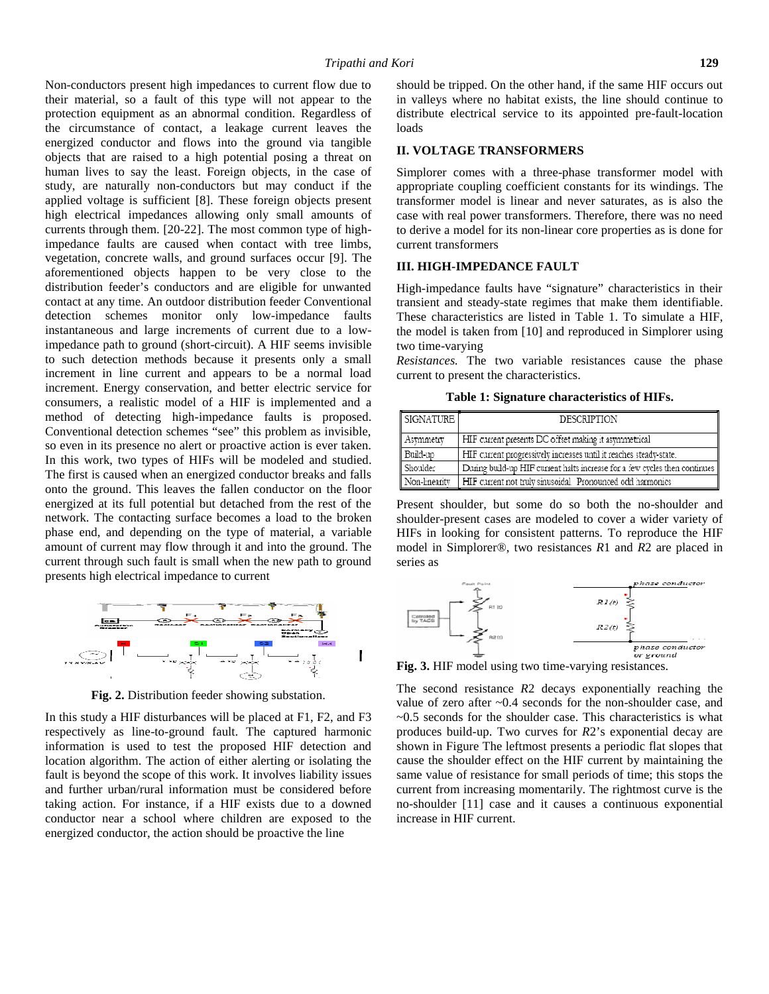Non-conductors present high impedances to current flow due to their material, so a fault of this type will not appear to the protection equipment as an abnormal condition. Regardless of the circumstance of contact, a leakage current leaves the energized conductor and flows into the ground via tangible objects that are raised to a high potential posing a threat on human lives to say the least. Foreign objects, in the case of study, are naturally non-conductors but may conduct if the applied voltage is sufficient [8]. These foreign objects present high electrical impedances allowing only small amounts of currents through them. [20-22]. The most common type of highimpedance faults are caused when contact with tree limbs, vegetation, concrete walls, and ground surfaces occur [9]. The aforementioned objects happen to be very close to the distribution feeder's conductors and are eligible for unwanted contact at any time. An outdoor distribution feeder Conventional detection schemes monitor only low-impedance faults instantaneous and large increments of current due to a lowimpedance path to ground (short-circuit). A HIF seems invisible to such detection methods because it presents only a small increment in line current and appears to be a normal load increment. Energy conservation, and better electric service for consumers, a realistic model of a HIF is implemented and a method of detecting high-impedance faults is proposed. Conventional detection schemes "see" this problem as invisible, so even in its presence no alert or proactive action is ever taken. In this work, two types of HIFs will be modeled and studied. The first is caused when an energized conductor breaks and falls onto the ground. This leaves the fallen conductor on the floor energized at its full potential but detached from the rest of the network. The contacting surface becomes a load to the broken phase end, and depending on the type of material, a variable amount of current may flow through it and into the ground. The current through such fault is small when the new path to ground presents high electrical impedance to current



**Fig. 2.** Distribution feeder showing substation.

In this study a HIF disturbances will be placed at F1, F2, and F3 respectively as line-to-ground fault. The captured harmonic information is used to test the proposed HIF detection and location algorithm. The action of either alerting or isolating the fault is beyond the scope of this work. It involves liability issues and further urban/rural information must be considered before taking action. For instance, if a HIF exists due to a downed conductor near a school where children are exposed to the energized conductor, the action should be proactive the line

should be tripped. On the other hand, if the same HIF occurs out in valleys where no habitat exists, the line should continue to distribute electrical service to its appointed pre-fault-location loads

#### **II. VOLTAGE TRANSFORMERS**

Simplorer comes with a three-phase transformer model with appropriate coupling coefficient constants for its windings. The transformer model is linear and never saturates, as is also the case with real power transformers. Therefore, there was no need to derive a model for its non-linear core properties as is done for current transformers

# **III. HIGH-IMPEDANCE FAULT**

High-impedance faults have "signature" characteristics in their transient and steady-state regimes that make them identifiable. These characteristics are listed in Table 1. To simulate a HIF, the model is taken from [10] and reproduced in Simplorer using two time-varying

*Resistances.* The two variable resistances cause the phase current to present the characteristics.

**Table 1: Signature characteristics of HIFs.**

| SIGNATURE     | <b>DESCRIPTION</b>                                                         |
|---------------|----------------------------------------------------------------------------|
| Asymmetry     | HIF current presents DC offset making it asymmetrical                      |
| Build-up      | HIF current progressively increases until it reaches steady-state.         |
| Shoulder      | During build-up HIF current halts increase for a few cycles then continues |
| Non-linearity | HIF current not truly sinusoidal Pronounced odd harmonics                  |

Present shoulder, but some do so both the no-shoulder and shoulder-present cases are modeled to cover a wider variety of HIFs in looking for consistent patterns. To reproduce the HIF model in Simplorer®, two resistances *R*1 and *R*2 are placed in series as



**Fig. 3.** HIF model using two time-varying resistances.

The second resistance *R*2 decays exponentially reaching the value of zero after ~0.4 seconds for the non-shoulder case, and  $\sim$ 0.5 seconds for the shoulder case. This characteristics is what produces build-up. Two curves for *R*2's exponential decay are shown in Figure The leftmost presents a periodic flat slopes that cause the shoulder effect on the HIF current by maintaining the same value of resistance for small periods of time; this stops the current from increasing momentarily. The rightmost curve is the no-shoulder [11] case and it causes a continuous exponential increase in HIF current.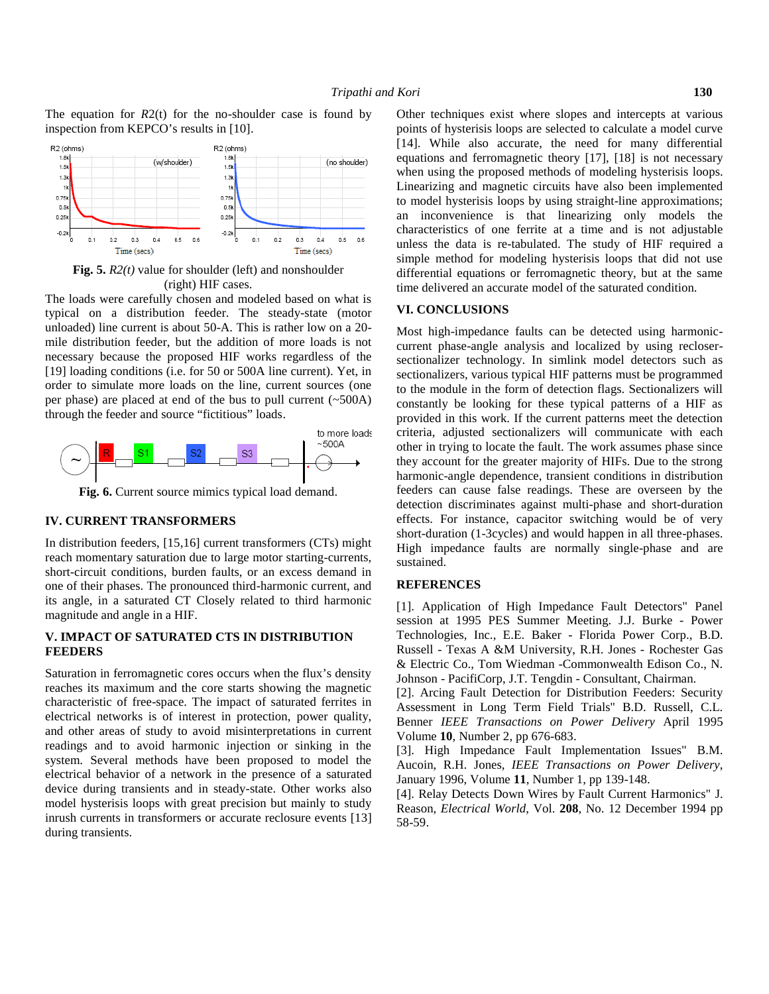The equation for *R*2(t) for the no-shoulder case is found by inspection from KEPCO's results in [10].



**Fig. 5.** *R2(t)* value for shoulder (left) and nonshoulder (right) HIF cases.

The loads were carefully chosen and modeled based on what is typical on a distribution feeder. The steady-state (motor unloaded) line current is about 50-A. This is rather low on a 20 mile distribution feeder, but the addition of more loads is not necessary because the proposed HIF works regardless of the [19] loading conditions (i.e. for 50 or 500A line current). Yet, in order to simulate more loads on the line, current sources (one per phase) are placed at end of the bus to pull current (~500A) through the feeder and source "fictitious" loads.



**Fig. 6.** Current source mimics typical load demand.

#### **IV. CURRENT TRANSFORMERS**

In distribution feeders, [15,16] current transformers (CTs) might reach momentary saturation due to large motor starting-currents, short-circuit conditions, burden faults, or an excess demand in one of their phases. The pronounced third-harmonic current, and its angle, in a saturated CT Closely related to third harmonic magnitude and angle in a HIF.

# **V. IMPACT OF SATURATED CTS IN DISTRIBUTION FEEDERS**

Saturation in ferromagnetic cores occurs when the flux's density reaches its maximum and the core starts showing the magnetic characteristic of free-space. The impact of saturated ferrites in electrical networks is of interest in protection, power quality, and other areas of study to avoid misinterpretations in current readings and to avoid harmonic injection or sinking in the system. Several methods have been proposed to model the electrical behavior of a network in the presence of a saturated device during transients and in steady-state. Other works also model hysterisis loops with great precision but mainly to study inrush currents in transformers or accurate reclosure events [13] during transients.

Other techniques exist where slopes and intercepts at various points of hysterisis loops are selected to calculate a model curve [14]. While also accurate, the need for many differential equations and ferromagnetic theory [17], [18] is not necessary when using the proposed methods of modeling hysterisis loops. Linearizing and magnetic circuits have also been implemented to model hysterisis loops by using straight-line approximations; an inconvenience is that linearizing only models the characteristics of one ferrite at a time and is not adjustable unless the data is re-tabulated. The study of HIF required a simple method for modeling hysterisis loops that did not use differential equations or ferromagnetic theory, but at the same time delivered an accurate model of the saturated condition.

# **VI. CONCLUSIONS**

Most high-impedance faults can be detected using harmonic current phase-angle analysis and localized by using recloser sectionalizer technology. In simlink model detectors such as sectionalizers, various typical HIF patterns must be programmed to the module in the form of detection flags. Sectionalizers will constantly be looking for these typical patterns of a HIF as provided in this work. If the current patterns meet the detection criteria, adjusted sectionalizers will communicate with each other in trying to locate the fault. The work assumes phase since they account for the greater majority of HIFs. Due to the strong harmonic-angle dependence, transient conditions in distribution feeders can cause false readings. These are overseen by the detection discriminates against multi-phase and short-duration effects. For instance, capacitor switching would be of very short-duration (1-3cycles) and would happen in all three-phases. High impedance faults are normally single-phase and are sustained.

#### **REFERENCES**

[1]. Application of High Impedance Fault Detectors" Panel session at 1995 PES Summer Meeting. J.J. Burke - Power Technologies, Inc., E.E. Baker - Florida Power Corp., B.D. Russell - Texas A &M University, R.H. Jones - Rochester Gas & Electric Co., Tom Wiedman -Commonwealth Edison Co., N. Johnson - PacifiCorp, J.T. Tengdin - Consultant, Chairman.

[2]. Arcing Fault Detection for Distribution Feeders: Security Assessment in Long Term Field Trials" B.D. Russell, C.L. Benner *IEEE Transactions on Power Delivery* April 1995 Volume **10**, Number 2, pp 676-683.

[3]. High Impedance Fault Implementation Issues" B.M. Aucoin, R.H. Jones, *IEEE Transactions on Power Delivery*, January 1996, Volume **11**, Number 1, pp 139-148.

[4]. Relay Detects Down Wires by Fault Current Harmonics" J. Reason, *Electrical World*, Vol. **208**, No. 12 December 1994 pp 58-59.